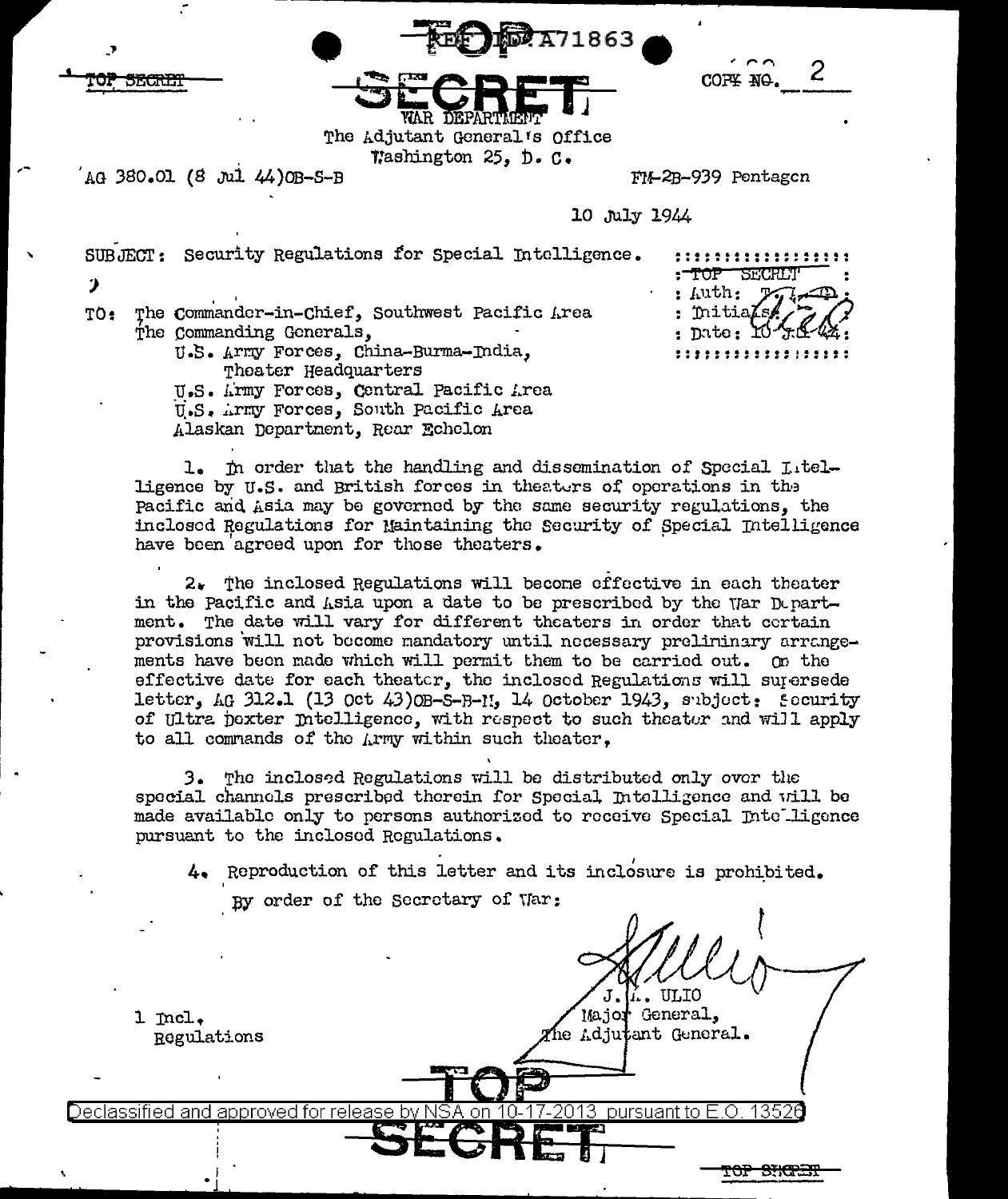| <b>RECORDATIB63</b> |  |
|---------------------|--|
|                     |  |



The Adjutant General's Office Washington 25, D. C.

AG 380.01 (8 Jul 44) OB-S-B

5<del>F.C.N.T.</del>

FIA-2B-939 Pentagen

10 July 1944

SUBJECT: Security Regulations for Special Intelligence.

 $\mathcal{P}$ 

TO: The Commander-in-Chief, Southwest Pacific Area The Commanding Generals,

,,,,,,,,,,,,,,,,,, : TOP SECRLT  $:$  Auth: : Initia : Dute: :::::::::::::::::::

U.S. Army Forces, China-Burma-India, Theater Headquarters U.S. Army Forces, Central Pacific Area

U.S. Army Forces, South Pacific Area

Alaskan Department, Rear Echelon

1. In order that the handling and dissemination of Special Litelligence by U.S. and British forces in theaters of operations in the Pacific and Asia may be governed by the same security regulations, the inclosed Regulations for Maintaining the Security of Special Intelligence have been agreed upon for those theaters.

 $2.$  The inclosed Regulations will become effective in each theater in the Pacific and Asia upon a date to be prescribed by the War Department. The date will vary for different theaters in order that cortain provisions will not become mandatory until necessary preliminary arrangements have been made which will permit them to be carried out. On the effective date for each theater, the inclosed Regulations will supersede letter,  $AG$  312.1 (13 Oct 43) OB-S-B-11, 14 October 1943, subject: Security of Ultra poxter Intelligence, with respect to such theater and will apply to all commands of the Army within such theater,

3. The inclosed Regulations will be distributed only over the special channels prescribed therein for Special Intelligence and will be made available only to persons authorized to receive Special Intelligence pursuant to the inclosed Regulations.

4. Reproduction of this letter and its inclosure is prohibited.

Major General,

The Adjutant General.

By order of the Secretary of War:

 $1$   $mcl.$ Regulations

Declassified and approved for release by NSA on 10-1 <u>17-2013 pursuant to E.O. 13526</u>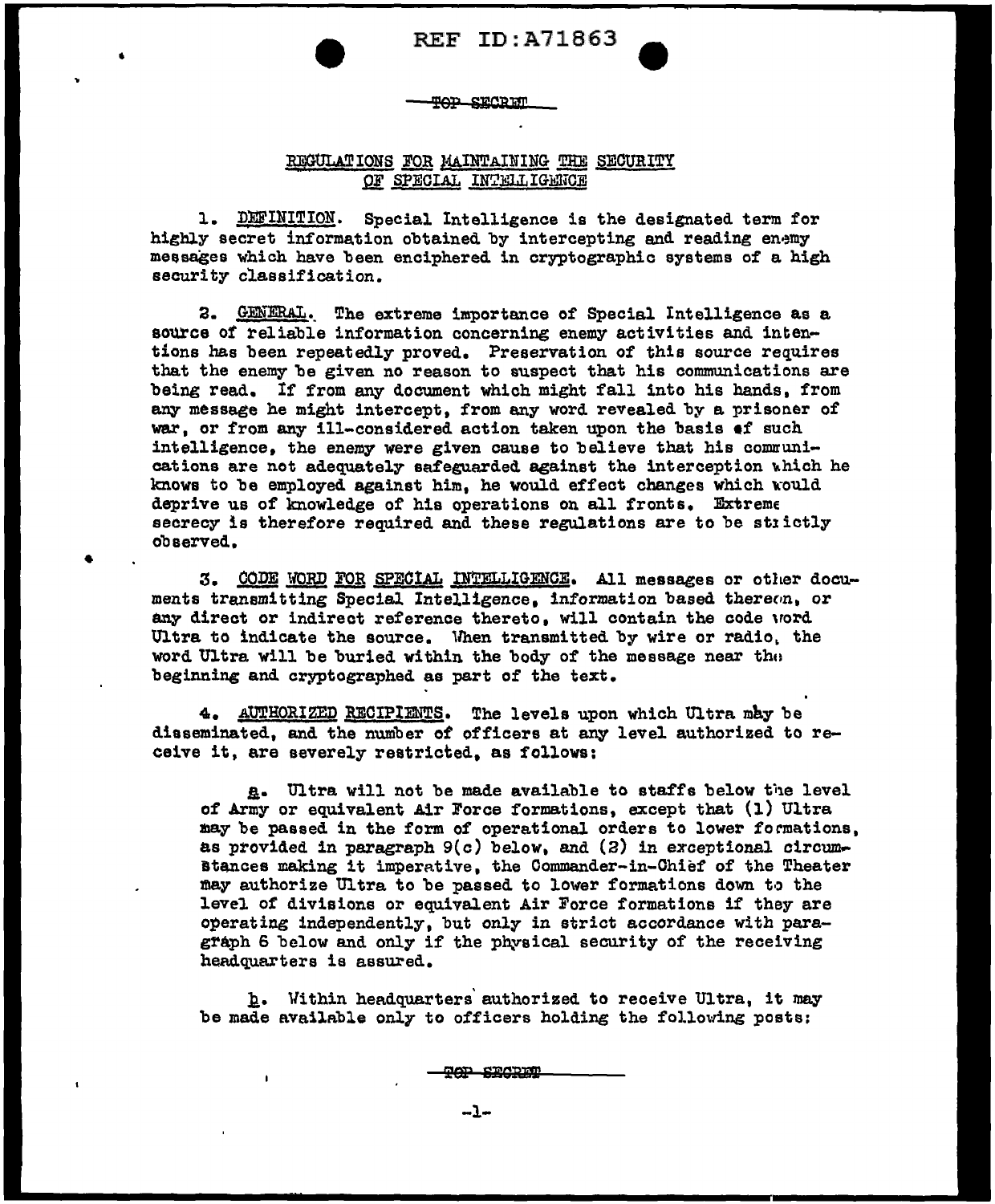# **TOP SECRET**

•

•

# REGULATIONS FOR MAINTAINING THE SECURITY OF SPECIAL INTELLIGENCE

1. DEFINITION. Special Intelligence is the designated term for highly secret information obtained by intercepting and reading enemy messages which have been enciphered in cryptographic systems of a high security classification.

a. GENERAL.. The extreme importance of Special Intelligence as a source of reliable information concerning enemy activities and intentions has been repeatedly proved. Preservation of this source requires that the enemy be given no reason to suspect that his communications are being read. If from any document which might fall into his hands, from any message he might intercept, from any word revealed by a prisoner of 'War, or from any ill-considered action taken upon the basis •f such intelligence, the enemy were given cause to believe that his communications are not adequately safeguarded against the interception which he knows to be employed against him, he would effect changes which would deprive us of knowledge of his operations on all fronts. Extreme secrecy is therefore required and these regulations are to be strictly obaerved •

3. CODE WORD FOR SPECIAL INTELLIGENCE. All messages or other documents transmitting Special Intelligence. information based thereon, or any direct or indirect reference thereto, will contain the code word Ultra to indicate the source. 'lhen transmitted by wire or radio. the word Ultra will be buried within the body of the message near tho beginning and cryptographed as part of the text.

4. AUTHORIZED RECIPIENTS. The levels upon which Ultra may be diaseminated, and the number of officers at any level authorized to receive it, are severely restricted, as follows:

a. Ultra will not be made available to staffs below the level of Army or equivalent Air Force formations, except that (1) Ultra may be passed in the form of operational orders to lower formations, as provided in paragraph  $9(c)$  below, and  $(2)$  in exceptional circum-Btances making it imperative, the Commander-in-Chief of the Theater may authorize Ultra to be passed to lower formations down to the leve1 of divisions or equivalent Air Force formations if they are operating independently, but only in strict accordance with paragraph 6 below and only if the physical security of the receiving headquarters is assured.

h. Within headquarters authorized to receive Ultra, it may be made available only to officers holding the following posts:

**TOP SECRET**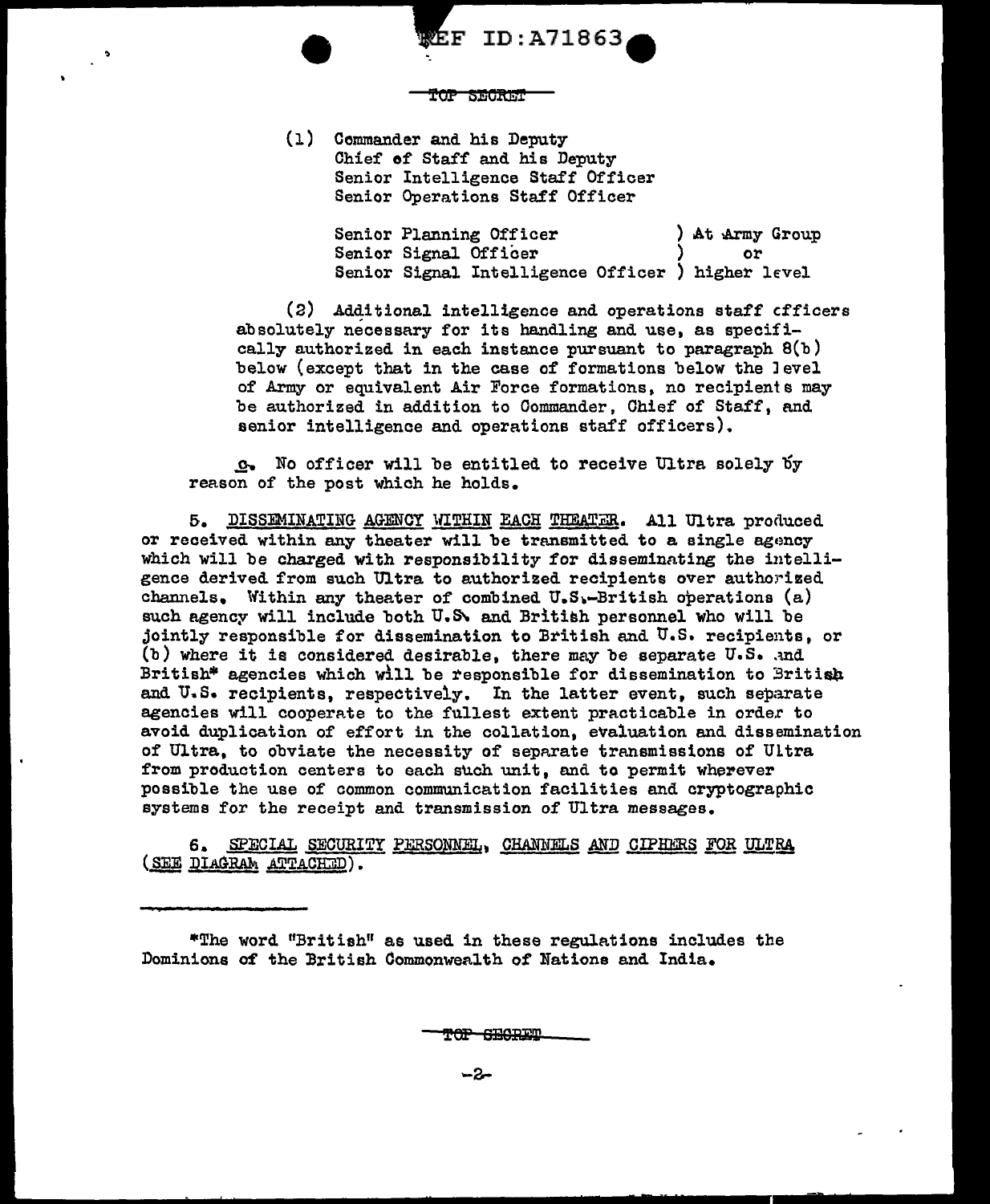**SECRET** 

 ${\tt EF}$  ID:A71863

(l) Commander and his Deputy Chief *of* Staff and his Deputy Senior Intelligence Staff Officer Senior Operations Staff Officer

> Senior Planning Officer ) At Army Group Senior Signal Officer (1) or Senior Signal Intelligence Officer ) higher level

(2) Additional intelligence and operations staff cfficers absolutely necessary for its handling and use, as specifically authorized in each instance pursuant to paragraph 8(b) below (except that in the case of formations below the Jevel of Army or equivalent Air Force formations, no recipients may be authorized in addition to Commander, Chief of Staff, and senior intelligence and operations staff officers).

\_g... No officer will be entitled to receive Ultra solely oy reason of the post which he holds.

5. DISSEMINATING AGENCY WITHIN EACH THEATER. All Ultra produced or received within any theater will be transmitted to a single agency which will be charged with responsibility for disseminating the intelligence derived from such Ultra to authorized recipients over authorized channels. Within any theater of combined  $U.S.$ -British operations  $(a)$ such agency will include both U.S. and British personnel who will be jointly responsible for dissemination to British and U.S. recipients, or (b) where it is considered desirable, there may be separate  $U.S.$  and British\* agencies which will be responsible for dissemination to British and U.S. recipients, respectively. In the latter event, such separate agencies will cooperate to the fullest extent practicable in order to avoid duplication of effort in the collation, evaluation and dissemination of Ultra, to obviate the necessity of separate transmissions of Ultra from production centers to each such unit, and to permit wherever possible the use of common communication facilities and cryptographic systems for the receipt and transmission of Ultra messages.

6. SPECIAL SECURITY PERSONNEL, CHANNELS AND CIPHERS FOR ULTRA ( SEE DIAGRAM ATTACHED).

\*The word "British" as used in these regulA.tions includes the Dominions of the British Commonwealth of Nations and India.

<del>YOP GEORE</del>N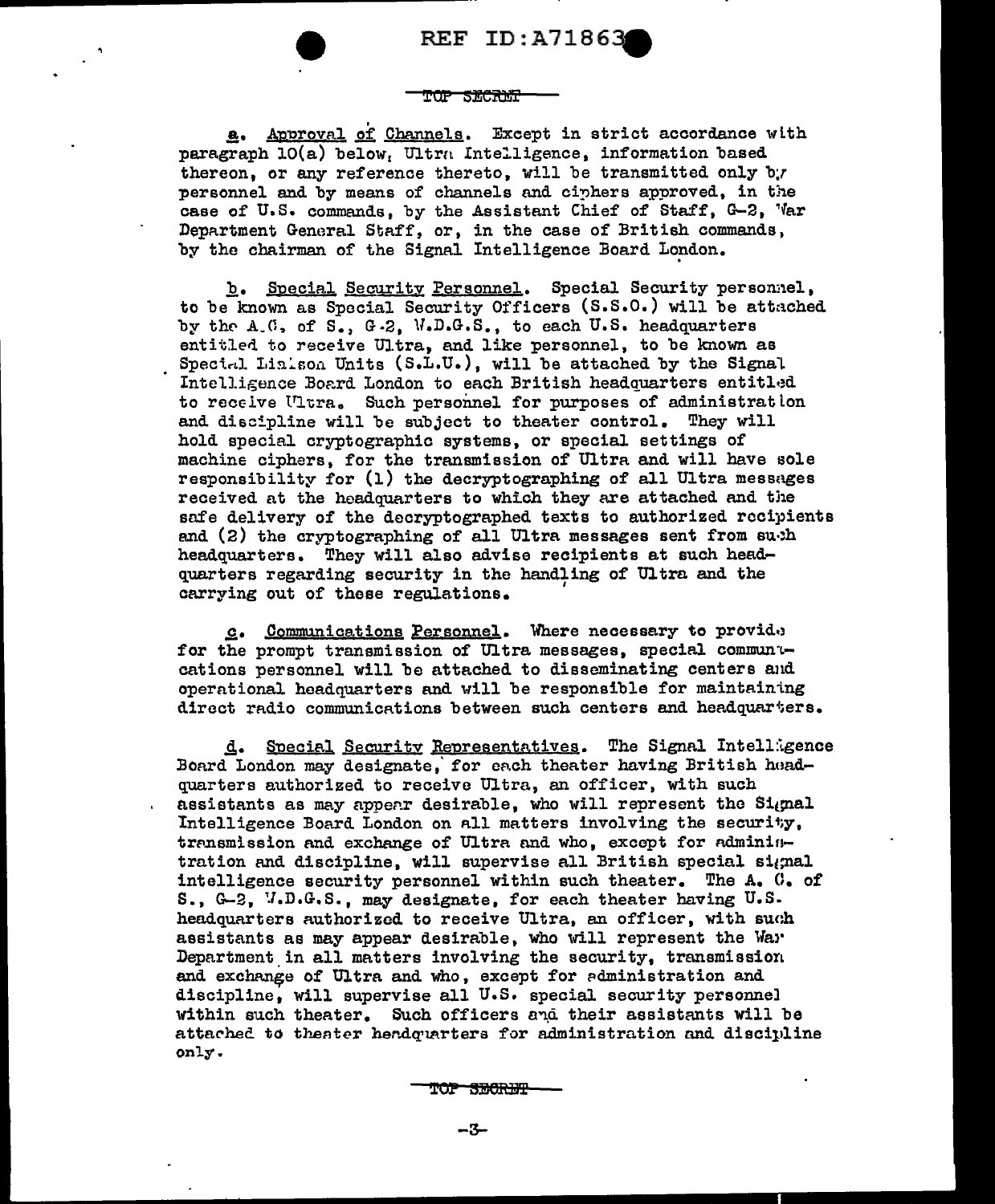#### طلبط **SECRET**

a. Approval of Channels. Except in strict accordance with paragraph  $10(a)$  below, Ultra Intelligence, information based thereon, or any reference thereto, will be transmitted only by personnel and by means of channels and ciphers approved, in the case of U.S. commands, by the Assistant Chief of Staff, G-2, 'Var Department General Staff, or, in the case of British commands, by the chairman of the Signal Intelligence Board London.

b. Special Security Personnel. Special Security personnel. to be known as Special Security Officers (S.S.O.) will be attached by the  $A(0, of S_*)$  G.2. W.D.G.S., to each U.S. headquarters entitled to receive Ultra, and like personnel, to be known as Special Linison Units (S.L.U.), will be attached by the Signal Intelligence Board London to each British headquarters entitled to receive Ultra. Such personnel for purposes of administration and discipline will be subject to theater control. They will hold special cryptographic systems, or special settings of machine ciphars, for the transmission of Ultra and will have sole responsibility for  $(1)$  the decryptographing of all Ultra messages received at the headquarters to which they are attached and the safe delivery of the decryptographed texts to authorized recipients and  $(2)$  the cryptographing of all Ultra messages sent from subh headquarters. They will also advise recipients at such headquarters regarding security in the handling of Ultra and the carrying out of these regulations.

c. Communications Personnel. Where necessary to provide for the prompt transmission of Ultra messages, special communucations personnel will be attached to disseminating centers and operational headquarters and will be responsible for maintaintng direct radio communications between such centers and headquarters.

d. Special Security Representatives. The Signal Intelligence Board London may designate, for each theater having British huadquarters authorized to receive Ultra, an officer, with such assistants as may appear desirable, who will represent the Signal Intelligence Board London on all matters involving the security, transmission and exchange of Ultra and who, except for adminintration and discipline, will supervise all British special signal intelligence security personnel within such theater. The A. C. of S.,  $G-2$ ,  $V.D.G.S.$ , may designate, for each theater having  $U.S.$ headquarters authorized to receive Ultra, an officer, with such assistants as may appear desirable, who will represent the Wa>' Department in all matters involving the security, transmission and exchange of Ultra and who, except for administration and discipline, will supervise all U.S. special security personnel within such theater. Such officers and their assistants will be attached to theater herdquarters for administration and discipline only.

TOP SECRET

$$
-3-
$$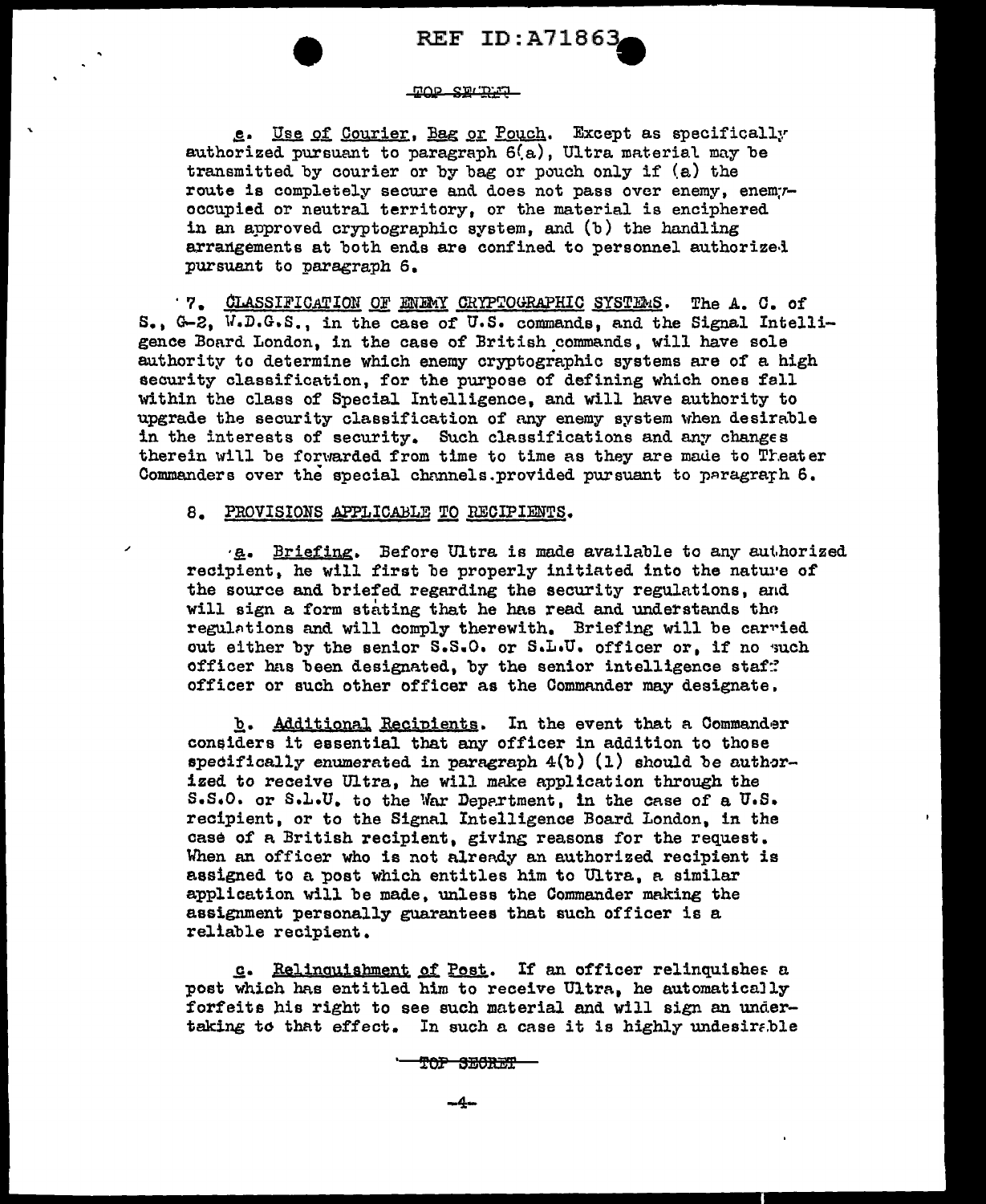### <u>nos smunus un</u>

e. Use of Courier, Bag or Pouch. Except as specifically authorized pursuant to paragraph  $6(a)$ , Ultra material may be transmitted by courier or by bag or pouch only if (a) the route is completely secure and does not pass over enemy, enem;roccupied or neutral territory, or the material is enciphered in an approved cryptographic system, and (b) the handling arrangements at both ends are confined to personnel authorized pursuant to paragraph 6.

· 7. CLASSIFICATION OF ENEWY CRYPTOGRAPHIC SYSTEMS. The A. C. of S., G-2, W.D.G.S., in the case of U.S. commands, and the Signal Intelligence Board London, in the case of British commands, will have sole authority to determine which enemy cryptographic systems are of a high security classification, for the purpose of defining which ones fall within the class of Special Intelligence, and will have authority to upgrade the security classification of any enemy system when desirable in the interests of security. Such classifications and any changes therein will be forwarded from time to time as they are made to Theater Commanders over the special channels.provided pursuant to paragrarh  $6.$ 

# a. PROVISIONS APPLICABLE TO RECIPIENTS.

·**g.** Briefing. Before Ultra is made available to any authorized recipient, he will first be properly initiated into the nature of the source and briefed regarding the security regulations, and will sign a form stating that he has read and understands tho regulations and will comply therewith. Briefing will be carried out either by the senior S.S.O. or S.L.U. officer or, if no such officer has been designated, by the senior intelligence staf: officer or such other officer as the Commander may designate,

b. Additional Recipients. In the event that a Commander considers it essential that any officer in addition to those specifically enumerated in paragraph  $4(b)$  (1) should be authorized to receive Ultra, he will make application through the  $S.S.O.$  or  $S.L.U.$  to the War Depertment, in the case of a  $U.S.$ recipient, or to the Signal Intelligence Board London, in the case of a British recipient, giving reasons for the request. When an officer who is not already an authorized recipient is assigned to a post which entitles him to Ultra, a similar application will be made, unless the Commander making the assignment personally guarantees that such officer is a reliable recipient.

g. Relinquishment of Post. If an officer relinquishes a post which has entitled him to receive Ultra, he automatically forfeits his right to see such material and will sign an undertaking to that effect. In such a case it is highly undesirable

TOP SECRET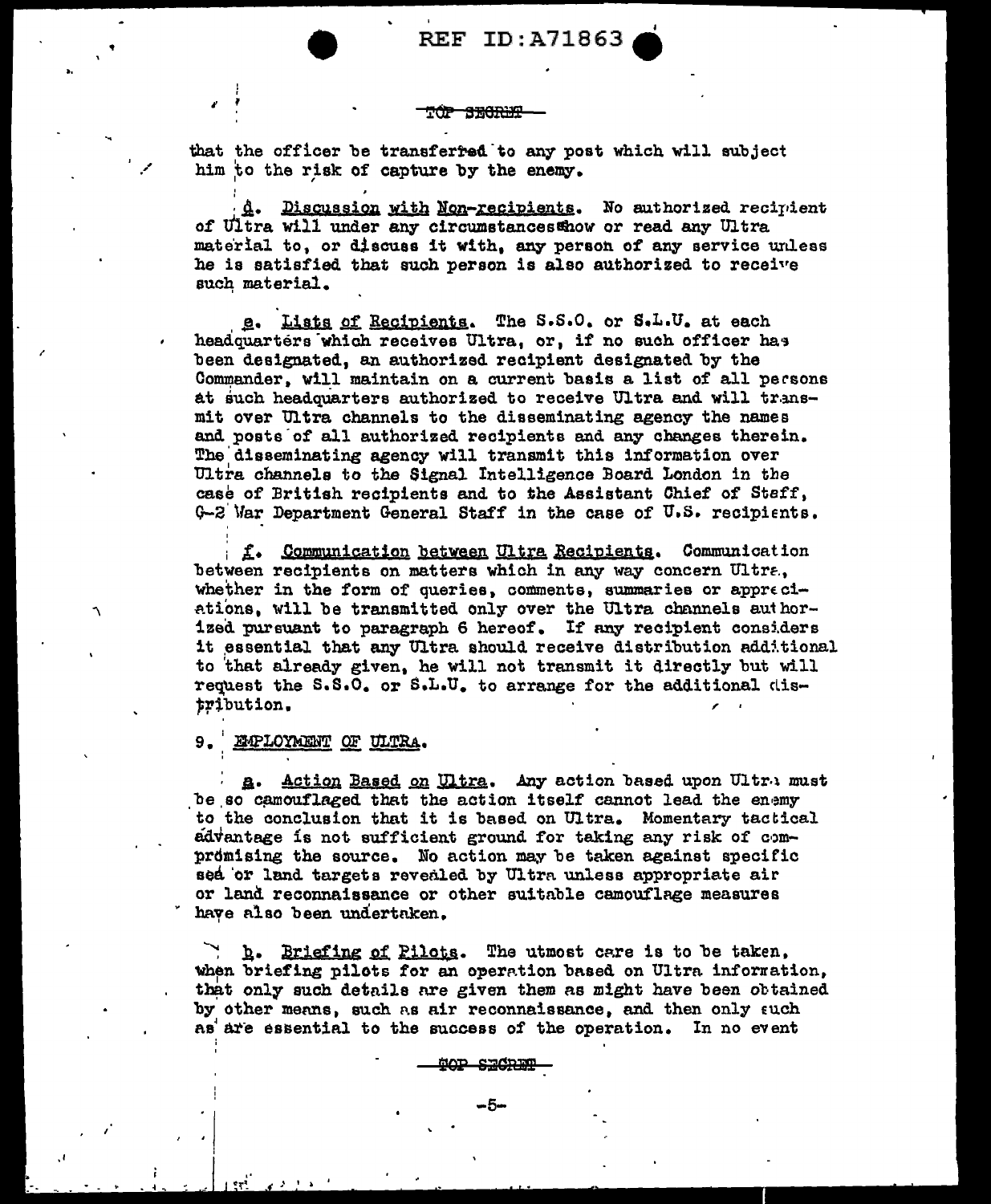#### <del>a manum</del>

that the officer be transferred to any post which will subject him to the risk of capture by the enemy.

d. Discussion with Non-recipients. No authorized recipient of Ultra will under any circumstances thow or read any Ultra material to, or discuss it with, any person of any service unless he is satisfied that such person is also authorized to receive such material.

g. Lists of Recipients. The S.S.O. or S.L.U. at each headquarters which receives Ultra, or, if no such officer has been designated, an authorized recipient designated by the Commander, will maintain on a current basis a list of all persons at such headquarters authorized to receive Ultra and will transmit over Ultra channels to the disseminating agency the names and posts of all authorized recipients and any changes therein. The disseminating agency will transmit this information over Ultra channels to the Signal Intelligence Board London in the case of British recipients and to the Assistant Chief of Staff, G-2 War Department General Staff in the case of U.S. recipients.

f. Communication between Ultra Recipients. Communication between recipients on matters which in any way concern Ultra, whether in the form of queries, comments, summaries or appreciations, will be transmitted only over the Ultra channels authorized pursuant to paragraph 6 hereof. If any recipient considers it essential that any Ultra should receive distribution additional to that already given, he will not transmit it directly but will request the S.S.O. or S.L.U. to arrange for the additional distribution.

#### 9. EMPLOYMENT OF ULTRA.

٦

Action Based on Ultra. Any action based upon Ultra must **a.** be so camouflaged that the action itself cannot lead the enemy to the conclusion that it is based on Ultra. Momentary tactical advantage is not sufficient ground for taking any risk of compromising the source. No action may be taken against specific sed or land targets revealed by Ultra unless appropriate air or land reconnaissance or other suitable camouflage measures have also been undertaken.

h. Briefing of Pilots. The utmost care is to be taken, when briefing pilots for an operation based on Ultra information, that only such details are given them as might have been obtained by other means, such as air reconnaissance, and then only such as are essential to the success of the operation. In no event

<del>SECRET</del>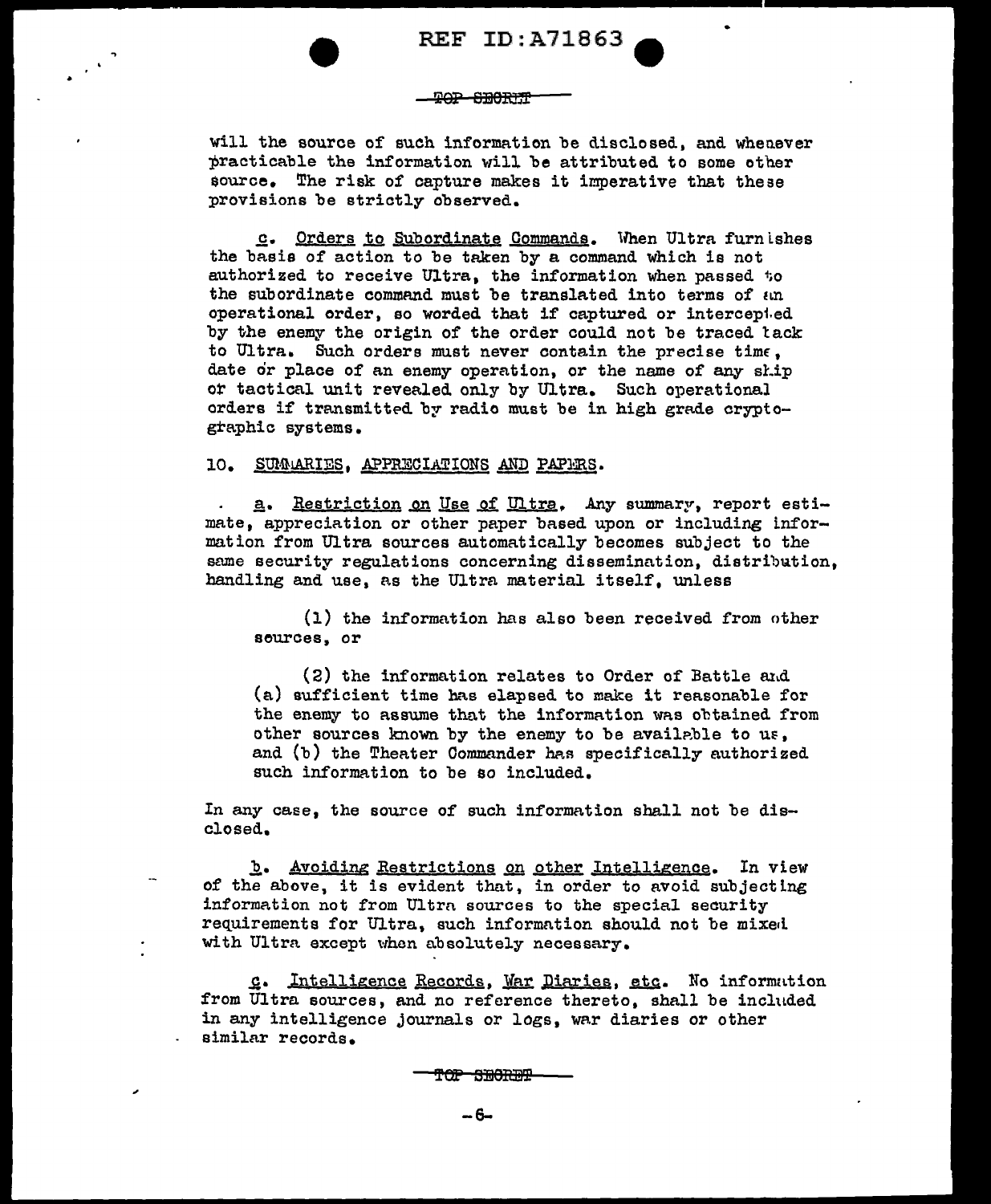### **POP SBORIT**

will the source of sueh information be disclosed, and whenever practicable the information will be attributed to some other source. The risk of capture makes it imperative that these provisions be strictly observed.

c. Orders to Subordinate Commands. When Ultra furnishes the basis of action to be taken by a command which is not authorized to receive Ultra, the information when passed to the subordinate command must be translated into terms of an operational order, so worded that if captured or intercep1.ed by the enemy the origin of the order could not be traced lack to Ultra. Such orders must never contain the precise time, date or place of an enemy operation, or the name of any ship ot tactical unit revealed only by Ultra. Such operational orders if transmitted by radio must be in high grade cryptographic systems.

# 10. SUMARIES, APPRECIATIONS AND PAPERS.

a. Restriction on Use of Ultra. Any summary, report estimate, appreciation or other paper based upon or including information from Ultra sources automatically becomes subject to the same security regulations concerning dissemination, distribution, handling and use, as the Ultra material itself, unless

(1) the information has also been received from other sources, or

 $(2)$  the information relates to Order of Battle and (a) sufficient time has elapsed to make it reasonable for the enemy to assume that the information was obtained from other sources known by the enemy to be available to us, and  $(b)$  the Theater Commander has specifically authorized such information to be so included.

In any case, the source of such information shall not be disclosed.

**b.** Avoiding Restrictions on other Intelligence. In view of the above, it is evident that, in order to avoid subjecting information not from Ultra sources to the special security requirements for Ultra, such information should not be mixed with Ultra except when absolutely necessary.

c. Intelligence Records, War Diaries, etc. No information from Ultra sources, and no reference thereto, shall be included in any intelligence journals or logs, war diaries or other similar records.

<del>TOP SECRET</del>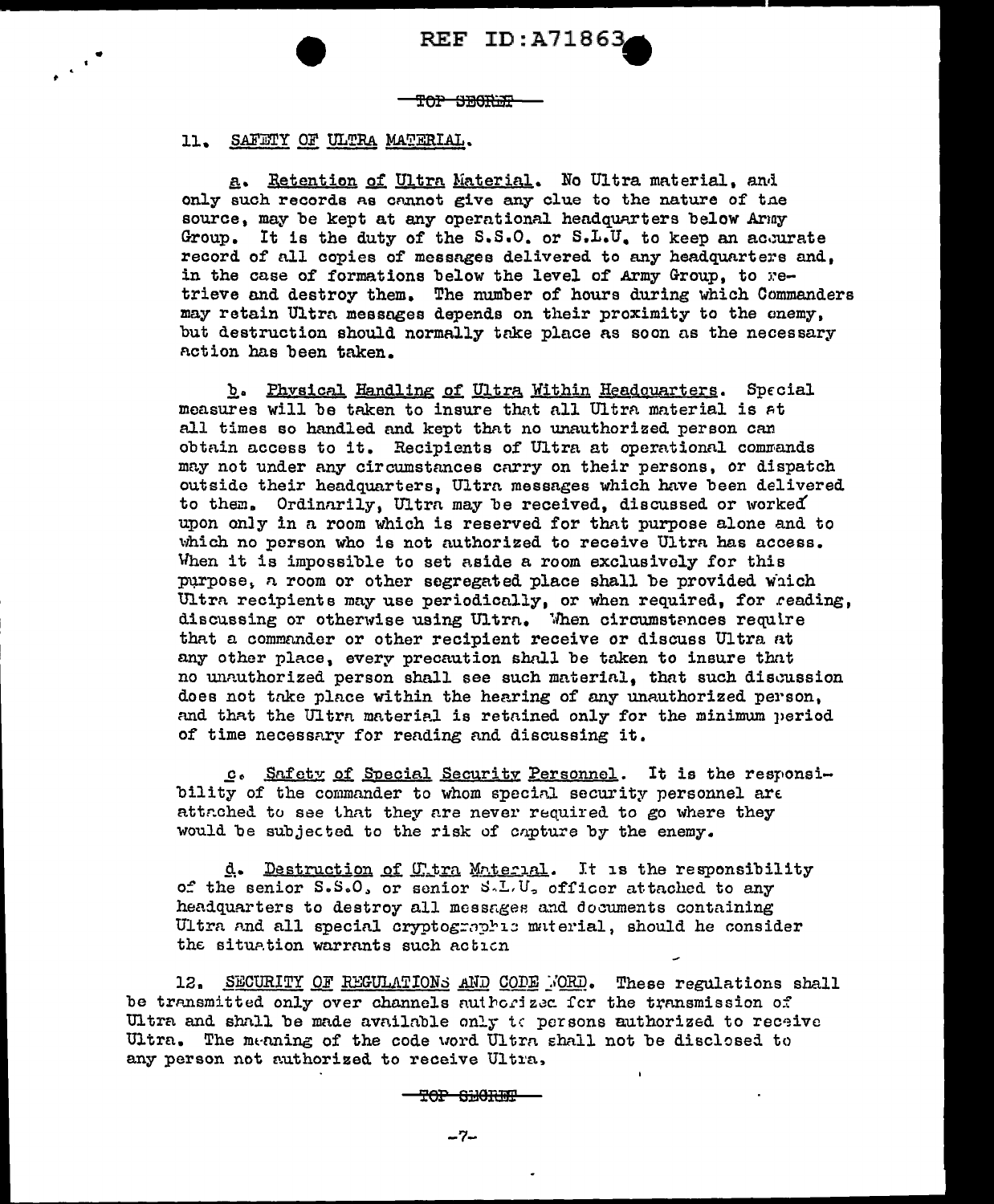TOP SEGRET

ll. SAFETY *QE* ULTRA MATERIAL.

 $\epsilon$ <sup>+</sup>

a. Retention of Ultra Material. No Ultra material, and only such records as cnnnot give any clue to the nature of tne source, may be kept at any operational headquarters below Army Group. It is the duty of the  $S.S.O.$  or  $S.L.U.$  to keep an accurate record of all copies of messages delivered to any headquarters and, in the case of formations below the level of Army Group, to  $r e$ trieve and destroy them. The number of hours during which Commanders may retain Ultra messages depends on their proximity to the enemy, but destruction should normally take place as soon as the necessary notion has been taken.

b. Phvsical Handling of Ultra Within Headouarters. Special measures will be taken to insure that all Ultra material is at all times so handled and kept that no unauthorized person can obtain access to it. Recipients of Ultra at operational commands may not under any circumstances carry on their persons, or dispatch outside their headquarters, Ultrn messages which have been delivered to them. Ordinarily, Ultra may be received, discussed or worked upon only in a room which is reserved for that purpose alone and to which no person who is not authorized to receive Ultra has access. When it is impossible to set aside a room exclusively for this purpose, a room or other segregated place shall be provided which Ultra recipients may use periodically, or when required, for reading, discussing or otherwise using Ultra. When circumstances require that a commander or other recipient receive or discuss Ultra at any other place, every precaution shall be taken to insure that no unnuthorized person shall see such material. that such discussion does not take place within the hearing of any unauthorized person, and that the Ultra material is retained only for the minimum period of time necessnry for rending nnd discussing it.

c. Snfetv of Snecial Securitv Personnel. It is the responsibility of the commander to whom special security personnel are attr.ched to see that they are never required to go where they would be subjected to the risk of capture by the enemy.

d. Destruction of Utra Material. It is the responsibility of the senior  $S.S.O.$  or senior  $S.L.U.$  officer attached to any headquarters to destroy all messages and documents containing Ultra and all special cryptographic material, should he consider the situation warrants such action

12. SECURITY OF REGULATIONS AND CODE FORD. These regulations shall be transmitted only over channels authorized for the transmission of Ultra and shnll be made available only to persons authorized to receive Ultra. The meaning of the code word Ultra shall not be disclosed to any person not authorized to receive Ultra,

TOP SHORIF